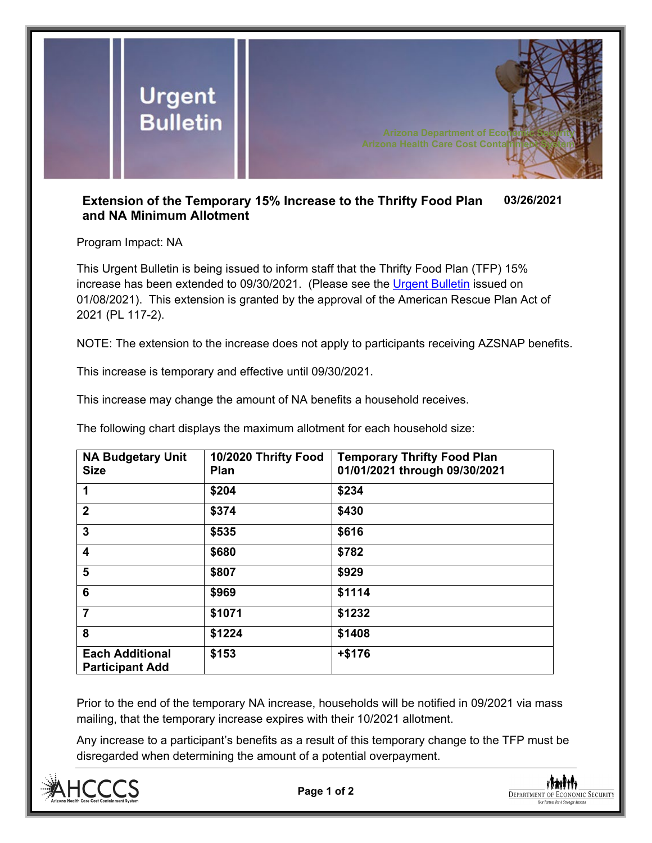

## **Extension of the Temporary 15% Increase to the Thrifty Food Plan and NA Minimum Allotment 03/26/2021**

Program Impact: NA

This Urgent Bulletin is being issued to inform staff that the Thrifty Food Plan (TFP) 15% increase has been extended to 09/30/2021. (Please see the [Urgent Bulletin](https://dbmefaapolicy.azdes.gov/FAA6/baggage/Urgent%20Bulletin%20(01-08-2021)%20-%20Temporary%20Increase%20to%20the%20Thrifty%20Food%20Plan%20and%20the%20NA%20Minimum%20Allotment.pdf) issued on 01/08/2021). This extension is granted by the approval of the American Rescue Plan Act of 2021 (PL 117-2).

NOTE: The extension to the increase does not apply to participants receiving AZSNAP benefits.

This increase is temporary and effective until 09/30/2021.

This increase may change the amount of NA benefits a household receives.

The following chart displays the maximum allotment for each household size:

| <b>NA Budgetary Unit</b><br><b>Size</b>          | 10/2020 Thrifty Food<br>Plan | <b>Temporary Thrifty Food Plan</b><br>01/01/2021 through 09/30/2021 |  |
|--------------------------------------------------|------------------------------|---------------------------------------------------------------------|--|
| 1                                                | \$204                        | \$234                                                               |  |
| $\overline{2}$                                   | \$374                        | \$430                                                               |  |
| 3                                                | \$535                        | \$616                                                               |  |
| $\overline{\mathbf{4}}$                          | \$680                        | \$782                                                               |  |
| 5                                                | \$807                        | \$929                                                               |  |
| 6                                                | \$969                        | \$1114                                                              |  |
| $\overline{7}$                                   | \$1071                       | \$1232                                                              |  |
| 8                                                | \$1224                       | \$1408                                                              |  |
| <b>Each Additional</b><br><b>Participant Add</b> | \$153                        | $+ $176$                                                            |  |

Prior to the end of the temporary NA increase, households will be notified in 09/2021 via mass mailing, that the temporary increase expires with their 10/2021 allotment.

Any increase to a participant's benefits as a result of this temporary change to the TFP must be disregarded when determining the amount of a potential overpayment.